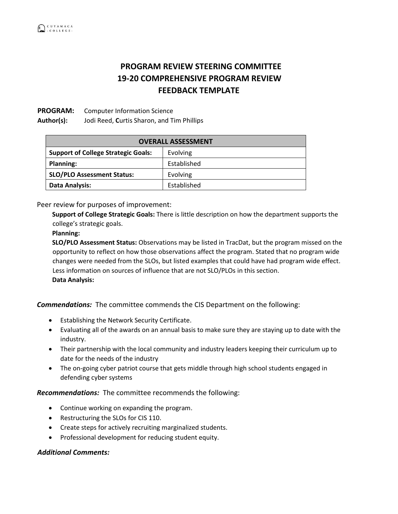# **PROGRAM REVIEW STEERING COMMITTEE 19-20 COMPREHENSIVE PROGRAM REVIEW FEEDBACK TEMPLATE**

### **PROGRAM:** Computer Information Science

**Author(s):** Jodi Reed, **C**urtis Sharon, and Tim Phillips

| <b>OVERALL ASSESSMENT</b>                  |             |
|--------------------------------------------|-------------|
| <b>Support of College Strategic Goals:</b> | Evolving    |
| <b>Planning:</b>                           | Established |
| <b>SLO/PLO Assessment Status:</b>          | Evolving    |
| Data Analysis:                             | Established |

Peer review for purposes of improvement:

**Support of College Strategic Goals:** There is little description on how the department supports the college's strategic goals.

#### **Planning:**

**SLO/PLO Assessment Status:** Observations may be listed in TracDat, but the program missed on the opportunity to reflect on how those observations affect the program. Stated that no program wide changes were needed from the SLOs, but listed examples that could have had program wide effect. Less information on sources of influence that are not SLO/PLOs in this section. **Data Analysis:** 

*Commendations:* The committee commends the CIS Department on the following:

- Establishing the Network Security Certificate.
- Evaluating all of the awards on an annual basis to make sure they are staying up to date with the industry.
- Their partnership with the local community and industry leaders keeping their curriculum up to date for the needs of the industry
- The on-going cyber patriot course that gets middle through high school students engaged in defending cyber systems

## *Recommendations:* The committee recommends the following:

- Continue working on expanding the program.
- Restructuring the SLOs for CIS 110.
- Create steps for actively recruiting marginalized students.
- Professional development for reducing student equity.

#### *Additional Comments:*